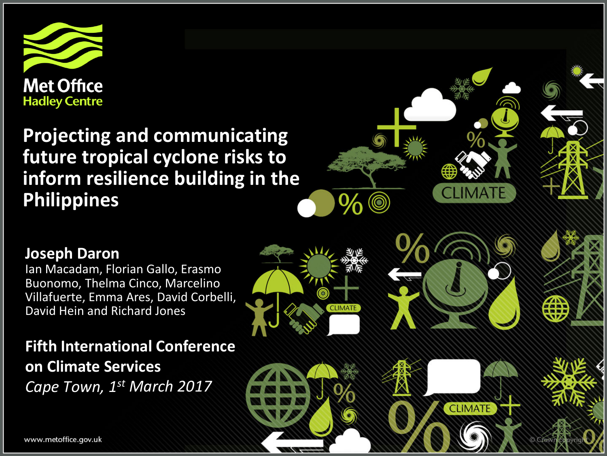

**Projecting and communicating future tropical cyclone risks to inform resilience building in the Philippines**



**CLIMATE** 

#### **Joseph Daron**

www.metoffice.gov.uk

Ian Macadam, Florian Gallo, Erasmo Buonomo, Thelma Cinco, Marcelino Villafuerte, Emma Ares, David Corbelli, David Hein and Richard Jones

**Fifth International Conference on Climate Services**  *Cape Town, 1st March 2017*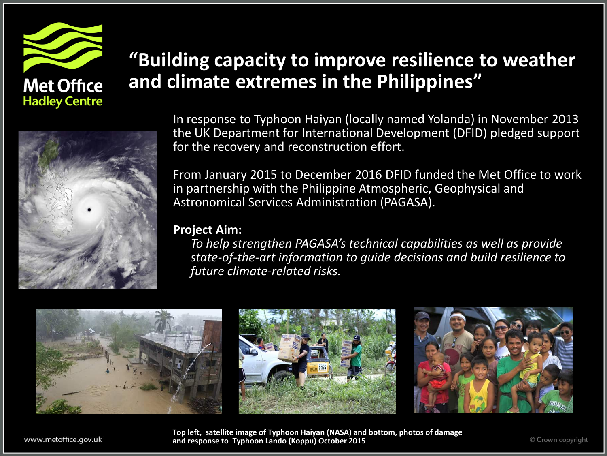

### **"Building capacity to improve resilience to weather and climate extremes in the Philippines"**



In response to Typhoon Haiyan (locally named Yolanda) in November 2013 the UK Department for International Development (DFID) pledged support for the recovery and reconstruction effort.

From January 2015 to December 2016 DFID funded the Met Office to work in partnership with the Philippine Atmospheric, Geophysical and Astronomical Services Administration (PAGASA).

#### **Project Aim:**

*To help strengthen PAGASA's technical capabilities as well as provide state-of-the-art information to guide decisions and build resilience to future climate-related risks.*



**Top left, satellite image of Typhoon Haiyan (NASA) and bottom, photos of damage and response to Typhoon Lando (Koppu) October 2015**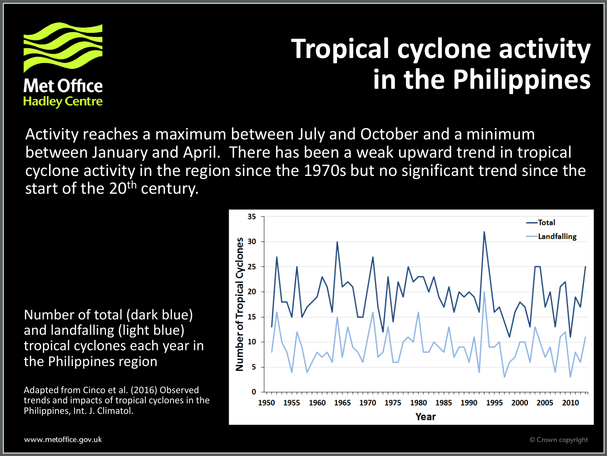

# **Tropical cyclone activity in the Philippines**

Activity reaches a maximum between July and October and a minimum between January and April. There has been a weak upward trend in tropical cyclone activity in the region since the 1970s but no significant trend since the start of the 20<sup>th</sup> century.

Number of total (dark blue) and landfalling (light blue) tropical cyclones each year in the Philippines region

Adapted from Cinco et al. (2016) Observed trends and impacts of tropical cyclones in the Philippines, Int. J. Climatol.

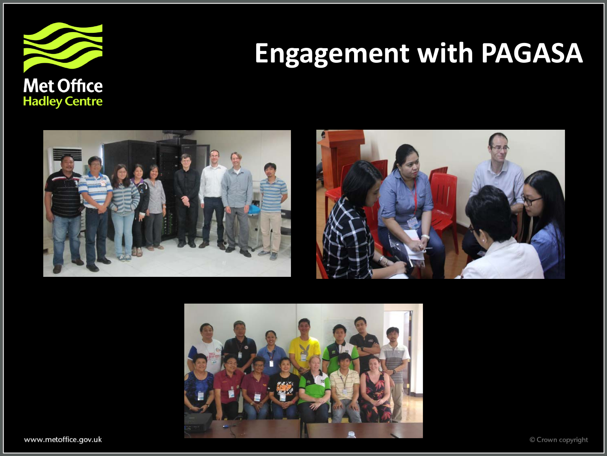

# **Engagement with PAGASA**







www.metoffice.gov.uk

© Crown copyright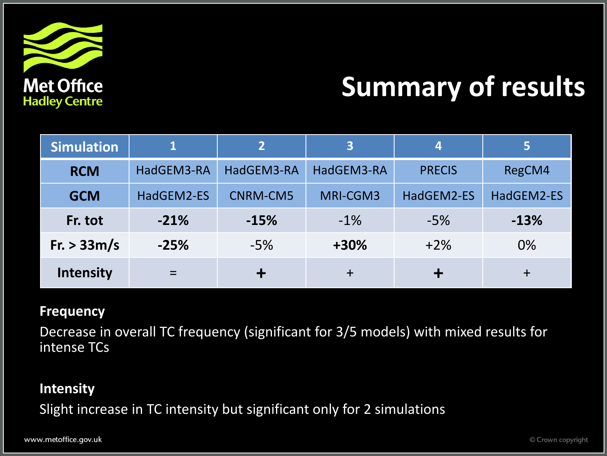

# **Summary of results**

| <b>Simulation</b> |            | 2               | $\overline{3}$ | 4             | 5          |
|-------------------|------------|-----------------|----------------|---------------|------------|
| <b>RCM</b>        | HadGEM3-RA | HadGEM3-RA      | HadGEM3-RA     | <b>PRECIS</b> | RegCM4     |
| <b>GCM</b>        | HadGEM2-ES | <b>CNRM-CM5</b> | MRI-CGM3       | HadGEM2-ES    | HadGEM2-ES |
| Fr. tot           | $-21%$     | $-15%$          | $-1\%$         | $-5%$         | $-13%$     |
| Fr. > 33m/s       | $-25%$     | $-5%$           | +30%           | $+2%$         | 0%         |
| <b>Intensity</b>  |            |                 | $\ddagger$     |               | $\ddot{}$  |

#### **Frequency**

Decrease in overall TC frequency (significant for 3/5 models) with mixed results for intense TCs

#### **Intensity**

Slight increase in TC intensity but significant only for 2 simulations

www.metoffice.gov.uk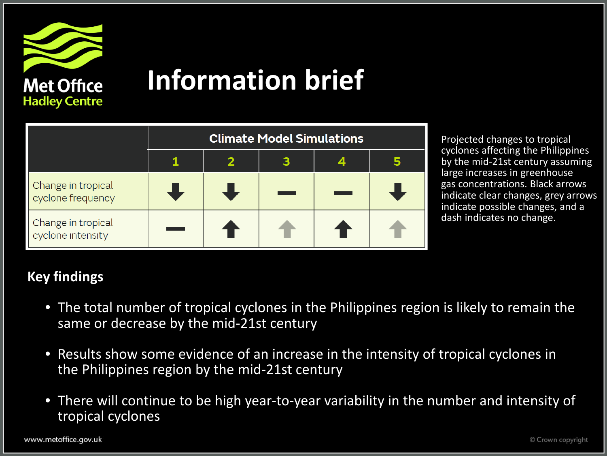

## **Information brief**

|                                         | <b>Climate Model Simulations</b> |  |  |  |  |  |  |
|-----------------------------------------|----------------------------------|--|--|--|--|--|--|
|                                         |                                  |  |  |  |  |  |  |
| Change in tropical<br>cyclone frequency |                                  |  |  |  |  |  |  |
| Change in tropical<br>cyclone intensity |                                  |  |  |  |  |  |  |

Projected changes to tropical cyclones affecting the Philippines by the mid-21st century assuming large increases in greenhouse gas concentrations. Black arrows indicate clear changes, grey arrows indicate possible changes, and a dash indicates no change.

#### **Key findings**

- The total number of tropical cyclones in the Philippines region is likely to remain the same or decrease by the mid-21st century
- Results show some evidence of an increase in the intensity of tropical cyclones in the Philippines region by the mid-21st century
- There will continue to be high year-to-year variability in the number and intensity of tropical cyclones

www.metoffice.gov.uk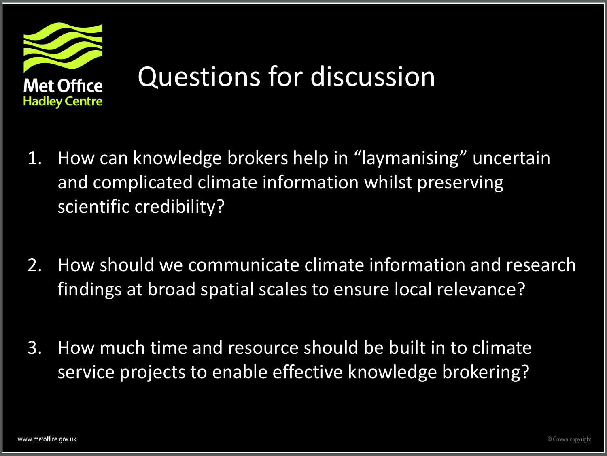

- 1. How can knowledge brokers help in "laymanising" uncertain and complicated climate information whilst preserving scientific credibility?
- 2. How should we communicate climate information and research findings at broad spatial scales to ensure local relevance?
- 3. How much time and resource should be built in to climate service projects to enable effective knowledge brokering?